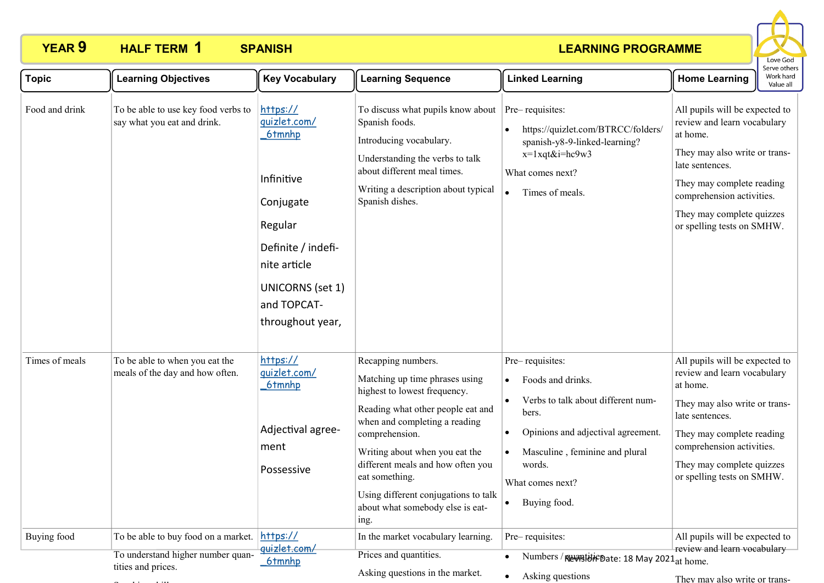### **LEARNING PROGRAMME**



| <b>Topic</b>   | <b>Learning Objectives</b>                                               | <b>Key Vocabulary</b>                                                                                                                                                        | <b>Learning Sequence</b>                                                                                                                                                                                                                                                                                                                                  | <b>Linked Learning</b>                                                                                                                                                                                                 | <b>Home Learning</b>                                                                                                                                                                                                                               | eive ouiei<br>Work hard<br>Value all |
|----------------|--------------------------------------------------------------------------|------------------------------------------------------------------------------------------------------------------------------------------------------------------------------|-----------------------------------------------------------------------------------------------------------------------------------------------------------------------------------------------------------------------------------------------------------------------------------------------------------------------------------------------------------|------------------------------------------------------------------------------------------------------------------------------------------------------------------------------------------------------------------------|----------------------------------------------------------------------------------------------------------------------------------------------------------------------------------------------------------------------------------------------------|--------------------------------------|
| Food and drink | To be able to use key food verbs to<br>say what you eat and drink.       | https://<br>quizlet.com/<br>6tmnhp<br>Infinitive<br>Conjugate<br>Regular<br>Definite / indefi-<br>nite article<br><b>UNICORNS</b> (set 1)<br>and TOPCAT-<br>throughout year, | To discuss what pupils know about<br>Spanish foods.<br>Introducing vocabulary.<br>Understanding the verbs to talk<br>about different meal times.<br>Writing a description about typical<br>Spanish dishes.                                                                                                                                                | Pre-requisites:<br>https://quizlet.com/BTRCC/folders/<br>spanish-y8-9-linked-learning?<br>x=1xqt&i=hc9w3<br>What comes next?<br>Times of meals.                                                                        | All pupils will be expected to<br>review and learn vocabulary<br>at home.<br>They may also write or trans-<br>late sentences.<br>They may complete reading<br>comprehension activities.<br>They may complete quizzes<br>or spelling tests on SMHW. |                                      |
| Times of meals | To be able to when you eat the<br>meals of the day and how often.        | https://<br>quizlet.com/<br>6tmnhp<br>Adjectival agree-<br>ment<br>Possessive                                                                                                | Recapping numbers.<br>Matching up time phrases using<br>highest to lowest frequency.<br>Reading what other people eat and<br>when and completing a reading<br>comprehension.<br>Writing about when you eat the<br>different meals and how often you<br>eat something.<br>Using different conjugations to talk<br>about what somebody else is eat-<br>ing. | Pre-requisites:<br>Foods and drinks.<br>Verbs to talk about different num-<br>bers.<br>Opinions and adjectival agreement.<br>$\bullet$<br>Masculine, feminine and plural<br>words.<br>What comes next?<br>Buying food. | All pupils will be expected to<br>review and learn vocabulary<br>at home.<br>They may also write or trans-<br>late sentences.<br>They may complete reading<br>comprehension activities.<br>They may complete quizzes<br>or spelling tests on SMHW. |                                      |
| Buying food    | To be able to buy food on a market.<br>To understand higher number quan- | https://<br>quizlet.com/<br>6tmnhp                                                                                                                                           | In the market vocabulary learning.<br>Prices and quantities.                                                                                                                                                                                                                                                                                              | Pre-requisites:<br>Numbers / Rumstiff Pate: 18 May 2021at home.                                                                                                                                                        | All pupils will be expected to<br>review and learn vocabulary-                                                                                                                                                                                     |                                      |
|                | tities and prices.                                                       |                                                                                                                                                                              | Asking questions in the market.                                                                                                                                                                                                                                                                                                                           | Asking questions                                                                                                                                                                                                       | They may also write or trans-                                                                                                                                                                                                                      |                                      |

ng questions in the market.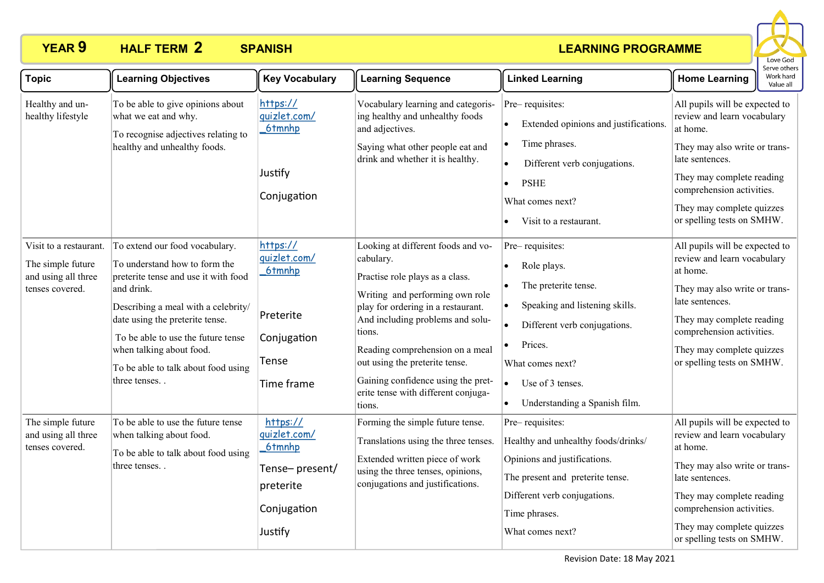### **LEARNING PROGRAMME**



| <b>Topic</b>                                                                          | <b>Learning Objectives</b>                                                                                                                                                                                                                                                                                               | <b>Key Vocabulary</b>                                                                       | <b>Learning Sequence</b>                                                                                                                                                                                                                                                                                                                                              | <b>Linked Learning</b>                                                                                                                                                                                                                              | <b>Home Learning</b>                                                                                                                                                                                                                               | כו אב חנוובו<br>Work hard<br>Value all |
|---------------------------------------------------------------------------------------|--------------------------------------------------------------------------------------------------------------------------------------------------------------------------------------------------------------------------------------------------------------------------------------------------------------------------|---------------------------------------------------------------------------------------------|-----------------------------------------------------------------------------------------------------------------------------------------------------------------------------------------------------------------------------------------------------------------------------------------------------------------------------------------------------------------------|-----------------------------------------------------------------------------------------------------------------------------------------------------------------------------------------------------------------------------------------------------|----------------------------------------------------------------------------------------------------------------------------------------------------------------------------------------------------------------------------------------------------|----------------------------------------|
| Healthy and un-<br>healthy lifestyle                                                  | To be able to give opinions about<br>what we eat and why.<br>To recognise adjectives relating to<br>healthy and unhealthy foods.                                                                                                                                                                                         | https://<br>quizlet.com/<br>6tmnhp<br>Justify<br>Conjugation                                | Vocabulary learning and categoris-<br>ing healthy and unhealthy foods<br>and adjectives.<br>Saying what other people eat and<br>drink and whether it is healthy.                                                                                                                                                                                                      | Pre-requisites:<br>Extended opinions and justifications.<br>Time phrases.<br>$\bullet$<br>Different verb conjugations.<br>$\bullet$<br><b>PSHE</b><br>$\bullet$<br>What comes next?<br>Visit to a restaurant.<br>$\bullet$                          | All pupils will be expected to<br>review and learn vocabulary<br>at home.<br>They may also write or trans-<br>late sentences.<br>They may complete reading<br>comprehension activities.<br>They may complete quizzes<br>or spelling tests on SMHW. |                                        |
| Visit to a restaurant.<br>The simple future<br>and using all three<br>tenses covered. | To extend our food vocabulary.<br>To understand how to form the<br>preterite tense and use it with food<br>and drink.<br>Describing a meal with a celebrity/<br>date using the preterite tense.<br>To be able to use the future tense<br>when talking about food.<br>To be able to talk about food using<br>three tenses | https://<br>quizlet.com/<br>6tmnhp<br>Preterite<br>Conjugation<br>Tense<br>Time frame       | Looking at different foods and vo-<br>cabulary.<br>Practise role plays as a class.<br>Writing and performing own role<br>play for ordering in a restaurant.<br>And including problems and solu-<br>tions.<br>Reading comprehension on a meal<br>out using the preterite tense.<br>Gaining confidence using the pret-<br>erite tense with different conjuga-<br>tions. | Pre-requisites:<br>Role plays.<br>$\bullet$<br>The preterite tense.<br>Speaking and listening skills.<br>Different verb conjugations.<br>$\bullet$<br>Prices.<br>What comes next?<br>Use of 3 tenses.<br>$\bullet$<br>Understanding a Spanish film. | All pupils will be expected to<br>review and learn vocabulary<br>at home.<br>They may also write or trans-<br>late sentences.<br>They may complete reading<br>comprehension activities.<br>They may complete quizzes<br>or spelling tests on SMHW. |                                        |
| The simple future<br>and using all three<br>tenses covered.                           | To be able to use the future tense<br>when talking about food.<br>To be able to talk about food using<br>three tenses                                                                                                                                                                                                    | https://<br>quizlet.com/<br>6tmnhp<br>Tense-present/<br>preterite<br>Conjugation<br>Justify | Forming the simple future tense.<br>Translations using the three tenses.<br>Extended written piece of work<br>using the three tenses, opinions,<br>conjugations and justifications.                                                                                                                                                                                   | Pre-requisites:<br>Healthy and unhealthy foods/drinks/<br>Opinions and justifications.<br>The present and preterite tense.<br>Different verb conjugations.<br>Time phrases.<br>What comes next?                                                     | All pupils will be expected to<br>review and learn vocabulary<br>at home.<br>They may also write or trans-<br>late sentences.<br>They may complete reading<br>comprehension activities.<br>They may complete quizzes<br>or spelling tests on SMHW. |                                        |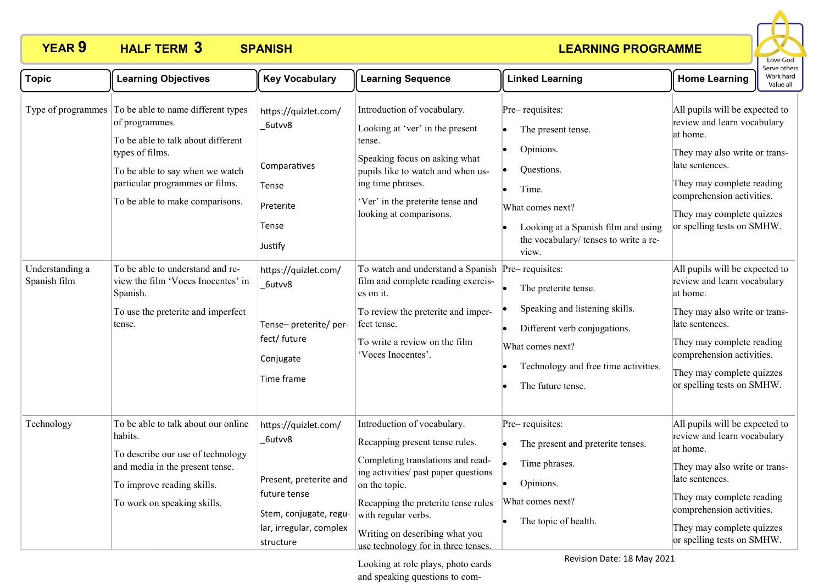### **LEARNING PROGRAMME**



| <b>Topic</b>                    | <b>Learning Objectives</b>                                                                                                                                                                                                                                                                                                                                                      | <b>Key Vocabulary</b>                                                                                                                                                                          | <b>Learning Sequence</b>                                                                                                                                                                                                                                                                                                                                                                                                                               | <b>Linked Learning</b>                                                                                                                                                                                                                                                                                                                                                                            | <b>Home Learning</b>                                                                                                                                                                                                                                                                                                                                                                                                                                                                                     | Work hard<br>Value all |
|---------------------------------|---------------------------------------------------------------------------------------------------------------------------------------------------------------------------------------------------------------------------------------------------------------------------------------------------------------------------------------------------------------------------------|------------------------------------------------------------------------------------------------------------------------------------------------------------------------------------------------|--------------------------------------------------------------------------------------------------------------------------------------------------------------------------------------------------------------------------------------------------------------------------------------------------------------------------------------------------------------------------------------------------------------------------------------------------------|---------------------------------------------------------------------------------------------------------------------------------------------------------------------------------------------------------------------------------------------------------------------------------------------------------------------------------------------------------------------------------------------------|----------------------------------------------------------------------------------------------------------------------------------------------------------------------------------------------------------------------------------------------------------------------------------------------------------------------------------------------------------------------------------------------------------------------------------------------------------------------------------------------------------|------------------------|
| Understanding a<br>Spanish film | Type of programmes To be able to name different types<br>of programmes.<br>To be able to talk about different<br>types of films.<br>To be able to say when we watch<br>particular programmes or films.<br>To be able to make comparisons.<br>To be able to understand and re-<br>view the film 'Voces Inocentes' in<br>Spanish.<br>To use the preterite and imperfect<br>tense. | https://quizlet.com/<br>_6utvv8<br>Comparatives<br>Tense<br>Preterite<br>Tense<br>Justify<br>https://quizlet.com/<br>6utvv8<br>Tense-preterite/per-<br>fect/ future<br>Conjugate<br>Time frame | Introduction of vocabulary.<br>Looking at 'ver' in the present<br>tense.<br>Speaking focus on asking what<br>pupils like to watch and when us-<br>ing time phrases.<br>'Ver' in the preterite tense and<br>looking at comparisons.<br>To watch and understand a Spanish Pre-requisites:<br>film and complete reading exercis-<br>es on it.<br>To review the preterite and imper-<br>fect tense.<br>To write a review on the film<br>'Voces Inocentes'. | Pre-requisites:<br>The present tense.<br>$\bullet$<br>Opinions.<br>$\bullet$<br>Questions.<br>Time.<br>What comes next?<br>Looking at a Spanish film and using<br>the vocabulary/ tenses to write a re-<br>view.<br>The preterite tense.<br>Speaking and listening skills.<br>Different verb conjugations.<br>I.<br>What comes next?<br>Technology and free time activities.<br>The future tense. | All pupils will be expected to<br>review and learn vocabulary<br>at home.<br>They may also write or trans-<br>late sentences.<br>They may complete reading<br>comprehension activities.<br>They may complete quizzes<br>or spelling tests on SMHW.<br>All pupils will be expected to<br>review and learn vocabulary<br>at home.<br>They may also write or trans-<br>late sentences.<br>They may complete reading<br>comprehension activities.<br>They may complete quizzes<br>or spelling tests on SMHW. |                        |
| Technology                      | To be able to talk about our online<br>habits.<br>To describe our use of technology<br>and media in the present tense.<br>To improve reading skills.<br>To work on speaking skills.                                                                                                                                                                                             | https://quizlet.com/<br>6utvv8<br>Present, preterite and<br>future tense<br>Stem, conjugate, regu-<br>lar, irregular, complex<br>structure                                                     | Introduction of vocabulary.<br>Recapping present tense rules.<br>Completing translations and read-<br>ing activities/ past paper questions<br>on the topic.<br>Recapping the preterite tense rules<br>with regular verbs.<br>Writing on describing what you<br>use technology for in three tenses.                                                                                                                                                     | Pre-requisites:<br>The present and preterite tenses.<br>۱e<br>Time phrases.<br>Opinions.<br>lo<br>What comes next?<br>The topic of health.                                                                                                                                                                                                                                                        | All pupils will be expected to<br>review and learn vocabulary<br>at home.<br>They may also write or trans-<br>late sentences.<br>They may complete reading<br>comprehension activities.<br>They may complete quizzes<br>or spelling tests on SMHW.                                                                                                                                                                                                                                                       |                        |

Looking at role plays, photo cards and speaking questions to comRevision Date: 18 May 2021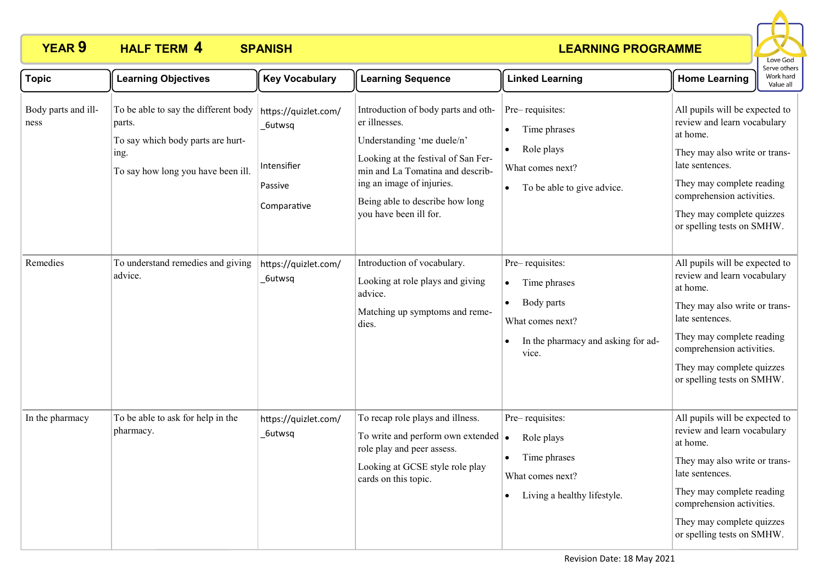### **LEARNING PROGRAMME**



| <b>Topic</b>                | <b>Learning Objectives</b>                                                                                                        | <b>Key Vocabulary</b>                                                   | <b>Learning Sequence</b>                                                                                                                                                                                                                                | <b>Linked Learning</b>                                                                                                                     | <b>Home Learning</b>                                                                                                                                                                                                                               | Work hard<br>Value all |
|-----------------------------|-----------------------------------------------------------------------------------------------------------------------------------|-------------------------------------------------------------------------|---------------------------------------------------------------------------------------------------------------------------------------------------------------------------------------------------------------------------------------------------------|--------------------------------------------------------------------------------------------------------------------------------------------|----------------------------------------------------------------------------------------------------------------------------------------------------------------------------------------------------------------------------------------------------|------------------------|
| Body parts and ill-<br>ness | To be able to say the different body<br>parts.<br>To say which body parts are hurt-<br>ing.<br>To say how long you have been ill. | https://quizlet.com/<br>6utwsq<br>Intensifier<br>Passive<br>Comparative | Introduction of body parts and oth-<br>er illnesses.<br>Understanding 'me duele/n'<br>Looking at the festival of San Fer-<br>min and La Tomatina and describ-<br>ing an image of injuries.<br>Being able to describe how long<br>you have been ill for. | Pre-requisites:<br>Time phrases<br>Role plays<br>$\bullet$<br>What comes next?<br>To be able to give advice.<br>$\bullet$                  | All pupils will be expected to<br>review and learn vocabulary<br>at home.<br>They may also write or trans-<br>late sentences.<br>They may complete reading<br>comprehension activities.<br>They may complete quizzes<br>or spelling tests on SMHW. |                        |
| Remedies                    | To understand remedies and giving<br>advice.                                                                                      | https://quizlet.com/<br>_6utwsq                                         | Introduction of vocabulary.<br>Looking at role plays and giving<br>advice.<br>Matching up symptoms and reme-<br>dies.                                                                                                                                   | Pre-requisites:<br>Time phrases<br>$\bullet$<br>Body parts<br>$\bullet$<br>What comes next?<br>In the pharmacy and asking for ad-<br>vice. | All pupils will be expected to<br>review and learn vocabulary<br>at home.<br>They may also write or trans-<br>late sentences.<br>They may complete reading<br>comprehension activities.<br>They may complete quizzes<br>or spelling tests on SMHW. |                        |
| In the pharmacy             | To be able to ask for help in the<br>pharmacy.                                                                                    | https://quizlet.com/<br>_6utwsq                                         | To recap role plays and illness.<br>To write and perform own extended $\bullet$<br>role play and peer assess.<br>Looking at GCSE style role play<br>cards on this topic.                                                                                | Pre-requisites:<br>Role plays<br>• Time phrases<br>What comes next?<br>Living a healthy lifestyle.                                         | All pupils will be expected to<br>review and learn vocabulary<br>at home.<br>They may also write or trans-<br>late sentences.<br>They may complete reading<br>comprehension activities.<br>They may complete quizzes<br>or spelling tests on SMHW. |                        |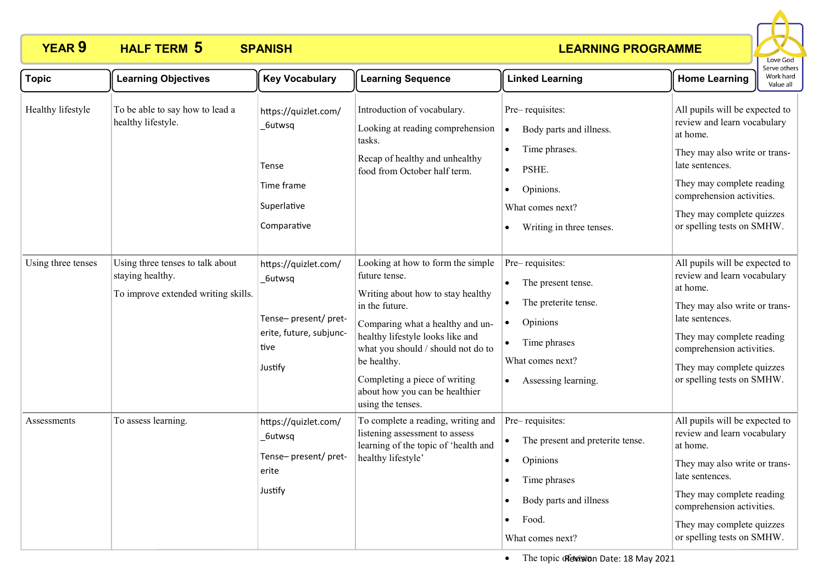### **LEARNING PROGRAMME**



| <b>Topic</b>       | <b>Learning Objectives</b>                                                                  | <b>Key Vocabulary</b>                                                                                | <b>Learning Sequence</b>                                                                                                                                                                                                                                                                                                              | <b>Linked Learning</b>                                                                                                                                      | Work hard<br><b>Home Learning</b><br>Value all                                                                                                                                                                                                     |
|--------------------|---------------------------------------------------------------------------------------------|------------------------------------------------------------------------------------------------------|---------------------------------------------------------------------------------------------------------------------------------------------------------------------------------------------------------------------------------------------------------------------------------------------------------------------------------------|-------------------------------------------------------------------------------------------------------------------------------------------------------------|----------------------------------------------------------------------------------------------------------------------------------------------------------------------------------------------------------------------------------------------------|
| Healthy lifestyle  | To be able to say how to lead a<br>healthy lifestyle.                                       | https://quizlet.com/<br>_6utwsq<br>Tense<br>Time frame<br>Superlative<br>Comparative                 | Introduction of vocabulary.<br>Looking at reading comprehension<br>tasks.<br>Recap of healthy and unhealthy<br>food from October half term.                                                                                                                                                                                           | Pre-requisites:<br>Body parts and illness.<br>$\bullet$<br>Time phrases.<br>PSHE.<br>Opinions.<br>$\bullet$<br>What comes next?<br>Writing in three tenses. | All pupils will be expected to<br>review and learn vocabulary<br>at home.<br>They may also write or trans-<br>late sentences.<br>They may complete reading<br>comprehension activities.<br>They may complete quizzes<br>or spelling tests on SMHW. |
| Using three tenses | Using three tenses to talk about<br>staying healthy.<br>To improve extended writing skills. | https://quizlet.com/<br>_6utwsq<br>Tense-present/pret-<br>erite, future, subjunc-<br>tive<br>Justify | Looking at how to form the simple<br>future tense.<br>Writing about how to stay healthy<br>in the future.<br>Comparing what a healthy and un-<br>healthy lifestyle looks like and<br>what you should $\prime$ should not do to<br>be healthy.<br>Completing a piece of writing<br>about how you can be healthier<br>using the tenses. | Pre-requisites:<br>The present tense.<br>The preterite tense.<br>Opinions<br>Time phrases<br>What comes next?<br>Assessing learning.<br>$\bullet$           | All pupils will be expected to<br>review and learn vocabulary<br>at home.<br>They may also write or trans-<br>late sentences.<br>They may complete reading<br>comprehension activities.<br>They may complete quizzes<br>or spelling tests on SMHW. |
| Assessments        | To assess learning.                                                                         | https://quizlet.com/<br>_6utwsq<br>Tense-present/pret-<br>erite<br>Justify                           | To complete a reading, writing and<br>listening assessment to assess<br>learning of the topic of 'health and<br>healthy lifestyle'                                                                                                                                                                                                    | Pre-requisites:<br>The present and preterite tense.<br>Opinions<br>$\bullet$<br>Time phrases<br>Body parts and illness<br>Food.<br>What comes next?         | All pupils will be expected to<br>review and learn vocabulary<br>at home.<br>They may also write or trans-<br>late sentences.<br>They may complete reading<br>comprehension activities.<br>They may complete quizzes<br>or spelling tests on SMHW. |

• The topic of evasion Date: 18 May 2021